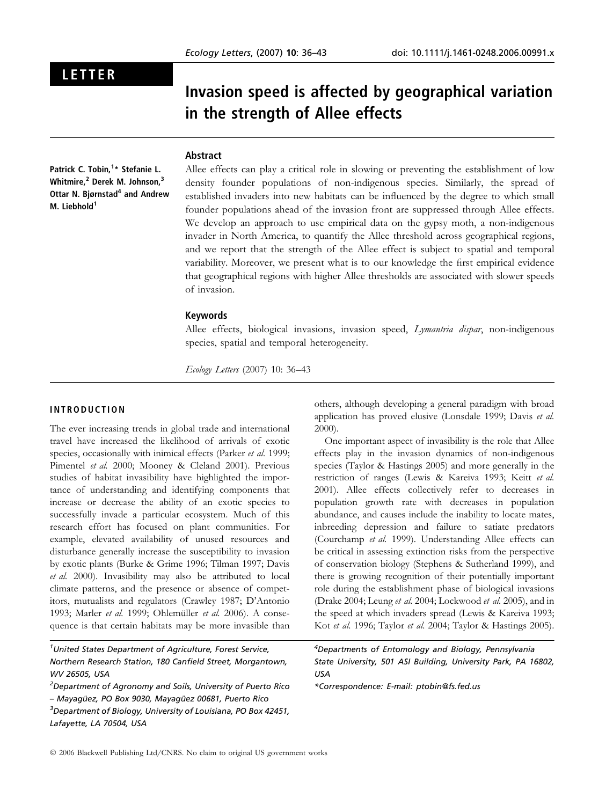## LETTER

# Invasion speed is affected by geographical variation in the strength of Allee effects

### Abstract

Patrick C. Tobin,<sup>1</sup>\* Stefanie L. Whitmire.<sup>2</sup> Derek M. Johnson.<sup>3</sup> Ottar N. Bjørnstad<sup>4</sup> and Andrew M. Liebhold<sup>1</sup>

Allee effects can play a critical role in slowing or preventing the establishment of low density founder populations of non-indigenous species. Similarly, the spread of established invaders into new habitats can be influenced by the degree to which small founder populations ahead of the invasion front are suppressed through Allee effects. We develop an approach to use empirical data on the gypsy moth, a non-indigenous invader in North America, to quantify the Allee threshold across geographical regions, and we report that the strength of the Allee effect is subject to spatial and temporal variability. Moreover, we present what is to our knowledge the first empirical evidence that geographical regions with higher Allee thresholds are associated with slower speeds of invasion.

#### Keywords

Allee effects, biological invasions, invasion speed, *Lymantria dispar*, non-indigenous species, spatial and temporal heterogeneity.

Ecology Letters (2007) 10: 36–43

### INTRODUCTION

The ever increasing trends in global trade and international travel have increased the likelihood of arrivals of exotic species, occasionally with inimical effects (Parker et al. 1999; Pimentel et al. 2000; Mooney & Cleland 2001). Previous studies of habitat invasibility have highlighted the importance of understanding and identifying components that increase or decrease the ability of an exotic species to successfully invade a particular ecosystem. Much of this research effort has focused on plant communities. For example, elevated availability of unused resources and disturbance generally increase the susceptibility to invasion by exotic plants (Burke & Grime 1996; Tilman 1997; Davis et al. 2000). Invasibility may also be attributed to local climate patterns, and the presence or absence of competitors, mutualists and regulators (Crawley 1987; D'Antonio 1993; Marler et al. 1999; Ohlemüller et al. 2006). A consequence is that certain habitats may be more invasible than

<sup>1</sup>United States Department of Agriculture, Forest Service, Northern Research Station, 180 Canfield Street, Morgantown, WV 26505, USA

others, although developing a general paradigm with broad application has proved elusive (Lonsdale 1999; Davis et al. 2000).

One important aspect of invasibility is the role that Allee effects play in the invasion dynamics of non-indigenous species (Taylor & Hastings 2005) and more generally in the restriction of ranges (Lewis & Kareiva 1993; Keitt et al. 2001). Allee effects collectively refer to decreases in population growth rate with decreases in population abundance, and causes include the inability to locate mates, inbreeding depression and failure to satiate predators (Courchamp et al. 1999). Understanding Allee effects can be critical in assessing extinction risks from the perspective of conservation biology (Stephens & Sutherland 1999), and there is growing recognition of their potentially important role during the establishment phase of biological invasions (Drake 2004; Leung et al. 2004; Lockwood et al. 2005), and in the speed at which invaders spread (Lewis & Kareiva 1993; Kot et al. 1996; Taylor et al. 2004; Taylor & Hastings 2005).

4 Departments of Entomology and Biology, Pennsylvania State University, 501 ASI Building, University Park, PA 16802, USA

\*Correspondence: E-mail: ptobin@fs.fed.us

<sup>&</sup>lt;sup>2</sup>Department of Agronomy and Soils, University of Puerto Rico – Mayagüez, PO Box 9030, Mayagüez 00681, Puerto Rico <sup>3</sup>Department of Biology, University of Louisiana, PO Box 42451, Lafayette, LA 70504, USA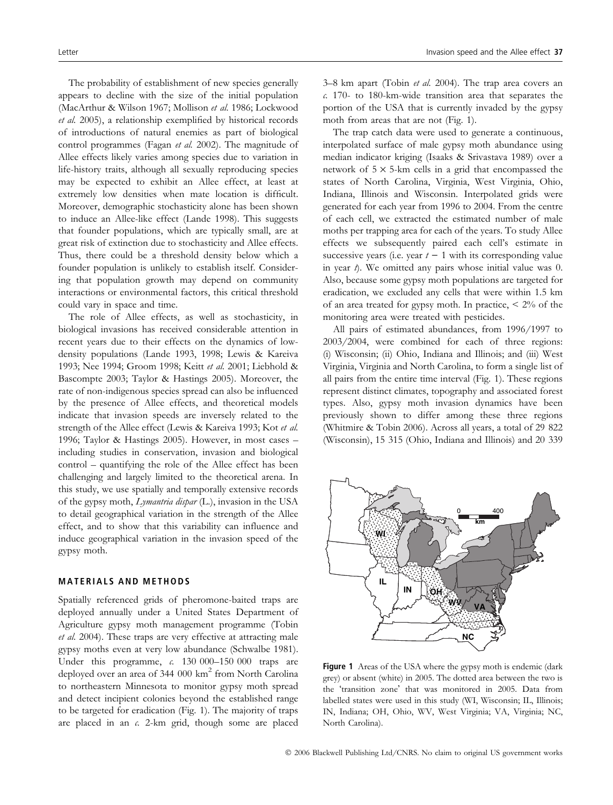The probability of establishment of new species generally appears to decline with the size of the initial population (MacArthur & Wilson 1967; Mollison et al. 1986; Lockwood et al. 2005), a relationship exemplified by historical records of introductions of natural enemies as part of biological control programmes (Fagan et al. 2002). The magnitude of Allee effects likely varies among species due to variation in life-history traits, although all sexually reproducing species may be expected to exhibit an Allee effect, at least at extremely low densities when mate location is difficult. Moreover, demographic stochasticity alone has been shown to induce an Allee-like effect (Lande 1998). This suggests that founder populations, which are typically small, are at great risk of extinction due to stochasticity and Allee effects. Thus, there could be a threshold density below which a founder population is unlikely to establish itself. Considering that population growth may depend on community interactions or environmental factors, this critical threshold could vary in space and time.

The role of Allee effects, as well as stochasticity, in biological invasions has received considerable attention in recent years due to their effects on the dynamics of lowdensity populations (Lande 1993, 1998; Lewis & Kareiva 1993; Nee 1994; Groom 1998; Keitt et al. 2001; Liebhold & Bascompte 2003; Taylor & Hastings 2005). Moreover, the rate of non-indigenous species spread can also be influenced by the presence of Allee effects, and theoretical models indicate that invasion speeds are inversely related to the strength of the Allee effect (Lewis & Kareiva 1993; Kot et al. 1996; Taylor & Hastings 2005). However, in most cases – including studies in conservation, invasion and biological control – quantifying the role of the Allee effect has been challenging and largely limited to the theoretical arena. In this study, we use spatially and temporally extensive records of the gypsy moth, Lymantria dispar (L.), invasion in the USA to detail geographical variation in the strength of the Allee effect, and to show that this variability can influence and induce geographical variation in the invasion speed of the gypsy moth.

#### MATERIALS AND METHODS

Spatially referenced grids of pheromone-baited traps are deployed annually under a United States Department of Agriculture gypsy moth management programme (Tobin et al. 2004). These traps are very effective at attracting male gypsy moths even at very low abundance (Schwalbe 1981). Under this programme, c. 130 000-150 000 traps are deployed over an area of 344 000  $km^2$  from North Carolina to northeastern Minnesota to monitor gypsy moth spread and detect incipient colonies beyond the established range to be targeted for eradication (Fig. 1). The majority of traps are placed in an  $\epsilon$ . 2-km grid, though some are placed

3–8 km apart (Tobin et al. 2004). The trap area covers an c. 170- to 180-km-wide transition area that separates the portion of the USA that is currently invaded by the gypsy moth from areas that are not (Fig. 1).

The trap catch data were used to generate a continuous, interpolated surface of male gypsy moth abundance using median indicator kriging (Isaaks & Srivastava 1989) over a network of  $5 \times 5$ -km cells in a grid that encompassed the states of North Carolina, Virginia, West Virginia, Ohio, Indiana, Illinois and Wisconsin. Interpolated grids were generated for each year from 1996 to 2004. From the centre of each cell, we extracted the estimated number of male moths per trapping area for each of the years. To study Allee effects we subsequently paired each cell's estimate in successive years (i.e. year  $t - 1$  with its corresponding value in year  $\phi$ . We omitted any pairs whose initial value was 0. Also, because some gypsy moth populations are targeted for eradication, we excluded any cells that were within 1.5 km of an area treated for gypsy moth. In practice,  $\leq 2\%$  of the monitoring area were treated with pesticides.

All pairs of estimated abundances, from 1996/1997 to 2003/2004, were combined for each of three regions: (i) Wisconsin; (ii) Ohio, Indiana and Illinois; and (iii) West Virginia, Virginia and North Carolina, to form a single list of all pairs from the entire time interval (Fig. 1). These regions represent distinct climates, topography and associated forest types. Also, gypsy moth invasion dynamics have been previously shown to differ among these three regions (Whitmire & Tobin 2006). Across all years, a total of 29 822 (Wisconsin), 15 315 (Ohio, Indiana and Illinois) and 20 339



Figure 1 Areas of the USA where the gypsy moth is endemic (dark grey) or absent (white) in 2005. The dotted area between the two is the 'transition zone' that was monitored in 2005. Data from labelled states were used in this study (WI, Wisconsin; IL, Illinois; IN, Indiana; OH, Ohio, WV, West Virginia; VA, Virginia; NC, North Carolina).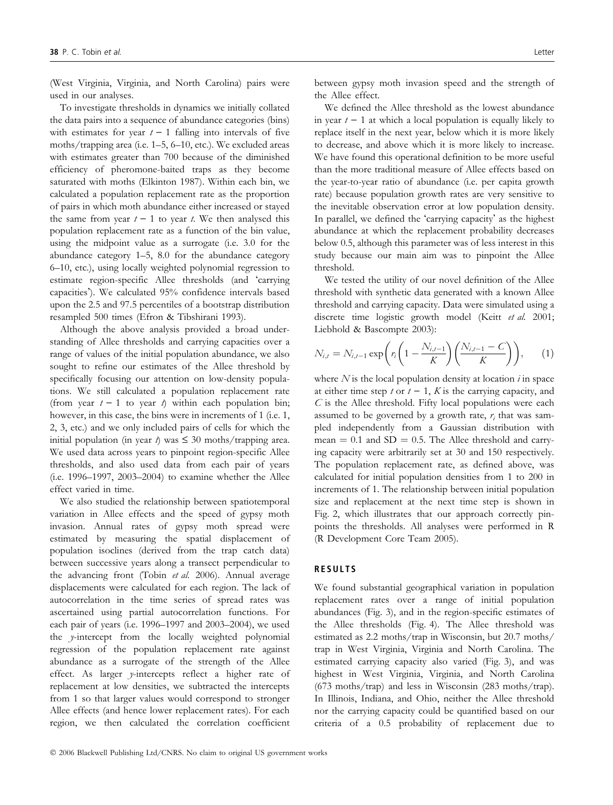(West Virginia, Virginia, and North Carolina) pairs were used in our analyses.

To investigate thresholds in dynamics we initially collated the data pairs into a sequence of abundance categories (bins) with estimates for year  $t - 1$  falling into intervals of five moths/trapping area (i.e. 1–5, 6–10, etc.). We excluded areas with estimates greater than 700 because of the diminished efficiency of pheromone-baited traps as they become saturated with moths (Elkinton 1987). Within each bin, we calculated a population replacement rate as the proportion of pairs in which moth abundance either increased or stayed the same from year  $t - 1$  to year t. We then analysed this population replacement rate as a function of the bin value, using the midpoint value as a surrogate (i.e. 3.0 for the abundance category 1–5, 8.0 for the abundance category 6–10, etc.), using locally weighted polynomial regression to estimate region-specific Allee thresholds (and 'carrying capacities). We calculated 95% confidence intervals based upon the 2.5 and 97.5 percentiles of a bootstrap distribution resampled 500 times (Efron & Tibshirani 1993).

Although the above analysis provided a broad understanding of Allee thresholds and carrying capacities over a range of values of the initial population abundance, we also sought to refine our estimates of the Allee threshold by specifically focusing our attention on low-density populations. We still calculated a population replacement rate (from year  $t - 1$  to year  $t$ ) within each population bin; however, in this case, the bins were in increments of 1 (i.e. 1, 2, 3, etc.) and we only included pairs of cells for which the initial population (in year  $t$ ) was  $\leq$  30 moths/trapping area. We used data across years to pinpoint region-specific Allee thresholds, and also used data from each pair of years (i.e. 1996–1997, 2003–2004) to examine whether the Allee effect varied in time.

We also studied the relationship between spatiotemporal variation in Allee effects and the speed of gypsy moth invasion. Annual rates of gypsy moth spread were estimated by measuring the spatial displacement of population isoclines (derived from the trap catch data) between successive years along a transect perpendicular to the advancing front (Tobin et al. 2006). Annual average displacements were calculated for each region. The lack of autocorrelation in the time series of spread rates was ascertained using partial autocorrelation functions. For each pair of years (i.e. 1996–1997 and 2003–2004), we used the y-intercept from the locally weighted polynomial regression of the population replacement rate against abundance as a surrogate of the strength of the Allee effect. As larger y-intercepts reflect a higher rate of replacement at low densities, we subtracted the intercepts from 1 so that larger values would correspond to stronger Allee effects (and hence lower replacement rates). For each region, we then calculated the correlation coefficient

between gypsy moth invasion speed and the strength of the Allee effect.

We defined the Allee threshold as the lowest abundance in year  $t - 1$  at which a local population is equally likely to replace itself in the next year, below which it is more likely to decrease, and above which it is more likely to increase. We have found this operational definition to be more useful than the more traditional measure of Allee effects based on the year-to-year ratio of abundance (i.e. per capita growth rate) because population growth rates are very sensitive to the inevitable observation error at low population density. In parallel, we defined the 'carrying capacity' as the highest abundance at which the replacement probability decreases below 0.5, although this parameter was of less interest in this study because our main aim was to pinpoint the Allee threshold.

We tested the utility of our novel definition of the Allee threshold with synthetic data generated with a known Allee threshold and carrying capacity. Data were simulated using a discrete time logistic growth model (Keitt et al. 2001; Liebhold & Bascompte 2003):

$$
N_{i,t} = N_{i,t-1} \exp\left(r_i \left(1 - \frac{N_{i,t-1}}{K}\right) \left(\frac{N_{i,t-1} - C}{K}\right)\right), \quad (1)
$$

where  $N$  is the local population density at location  $i$  in space at either time step t or  $t - 1$ , K is the carrying capacity, and  $C$  is the Allee threshold. Fifty local populations were each assumed to be governed by a growth rate,  $r_i$  that was sampled independently from a Gaussian distribution with mean  $= 0.1$  and SD  $= 0.5$ . The Allee threshold and carrying capacity were arbitrarily set at 30 and 150 respectively. The population replacement rate, as defined above, was calculated for initial population densities from 1 to 200 in increments of 1. The relationship between initial population size and replacement at the next time step is shown in Fig. 2, which illustrates that our approach correctly pinpoints the thresholds. All analyses were performed in R (R Development Core Team 2005).

#### RESULTS

We found substantial geographical variation in population replacement rates over a range of initial population abundances (Fig. 3), and in the region-specific estimates of the Allee thresholds (Fig. 4). The Allee threshold was estimated as 2.2 moths/trap in Wisconsin, but 20.7 moths/ trap in West Virginia, Virginia and North Carolina. The estimated carrying capacity also varied (Fig. 3), and was highest in West Virginia, Virginia, and North Carolina (673 moths/trap) and less in Wisconsin (283 moths/trap). In Illinois, Indiana, and Ohio, neither the Allee threshold nor the carrying capacity could be quantified based on our criteria of a 0.5 probability of replacement due to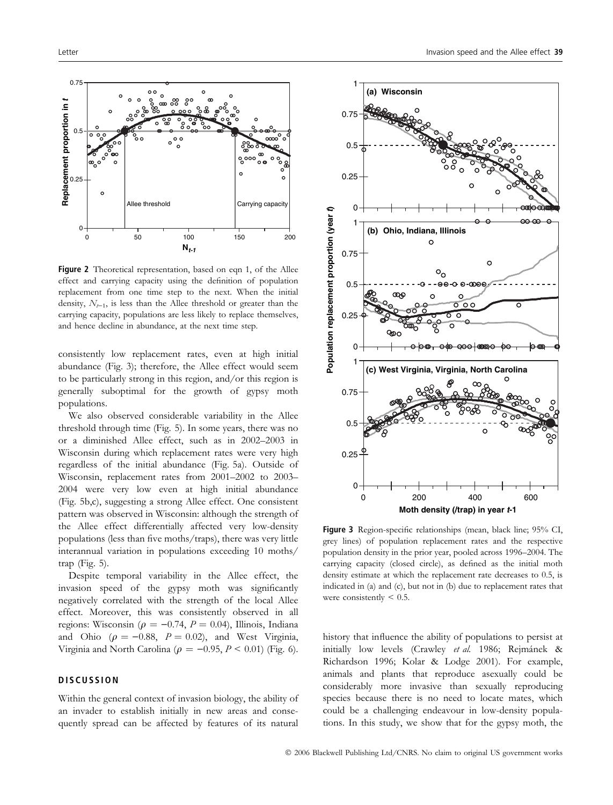

Figure 2 Theoretical representation, based on eqn 1, of the Allee effect and carrying capacity using the definition of population replacement from one time step to the next. When the initial density,  $N_{t-1}$ , is less than the Allee threshold or greater than the carrying capacity, populations are less likely to replace themselves, and hence decline in abundance, at the next time step.

consistently low replacement rates, even at high initial abundance (Fig. 3); therefore, the Allee effect would seem to be particularly strong in this region, and/or this region is generally suboptimal for the growth of gypsy moth populations.

We also observed considerable variability in the Allee threshold through time (Fig. 5). In some years, there was no or a diminished Allee effect, such as in 2002–2003 in Wisconsin during which replacement rates were very high regardless of the initial abundance (Fig. 5a). Outside of Wisconsin, replacement rates from 2001–2002 to 2003– 2004 were very low even at high initial abundance (Fig. 5b,c), suggesting a strong Allee effect. One consistent pattern was observed in Wisconsin: although the strength of the Allee effect differentially affected very low-density populations (less than five moths/traps), there was very little interannual variation in populations exceeding 10 moths/ trap (Fig. 5).

Despite temporal variability in the Allee effect, the invasion speed of the gypsy moth was significantly negatively correlated with the strength of the local Allee effect. Moreover, this was consistently observed in all regions: Wisconsin ( $\rho = -0.74$ ,  $P = 0.04$ ), Illinois, Indiana and Ohio ( $\rho = -0.88$ ,  $P = 0.02$ ), and West Virginia, Virginia and North Carolina ( $\rho = -0.95, P < 0.01$ ) (Fig. 6).

#### **DISCUSSION**

Within the general context of invasion biology, the ability of an invader to establish initially in new areas and consequently spread can be affected by features of its natural



Figure 3 Region-specific relationships (mean, black line; 95% CI, grey lines) of population replacement rates and the respective population density in the prior year, pooled across 1996–2004. The carrying capacity (closed circle), as defined as the initial moth density estimate at which the replacement rate decreases to 0.5, is indicated in (a) and (c), but not in (b) due to replacement rates that were consistently  $< 0.5$ .

history that influence the ability of populations to persist at initially low levels (Crawley et al. 1986; Rejmánek & Richardson 1996; Kolar & Lodge 2001). For example, animals and plants that reproduce asexually could be considerably more invasive than sexually reproducing species because there is no need to locate mates, which could be a challenging endeavour in low-density populations. In this study, we show that for the gypsy moth, the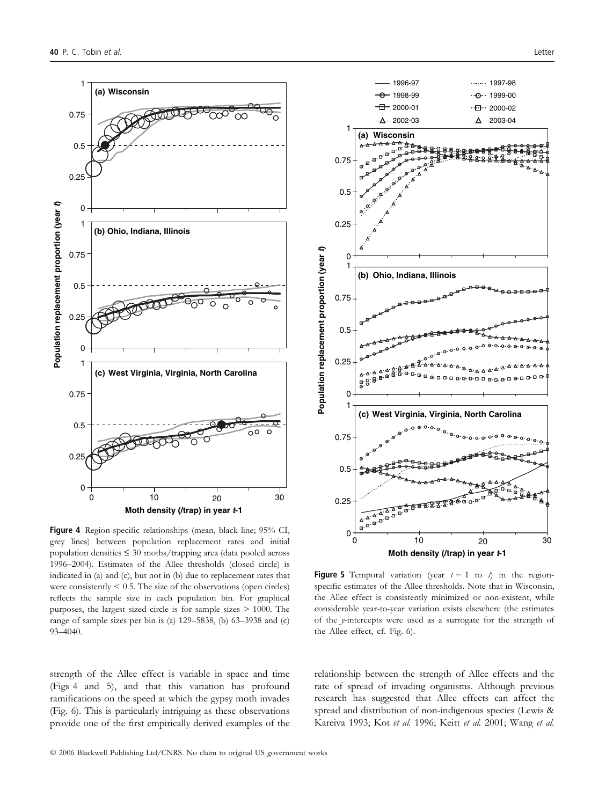

Figure 4 Region-specific relationships (mean, black line; 95% CI, grey lines) between population replacement rates and initial population densities  $\leq 30$  moths/trapping area (data pooled across 1996–2004). Estimates of the Allee thresholds (closed circle) is indicated in (a) and (c), but not in (b) due to replacement rates that were consistently  $\leq 0.5$ . The size of the observations (open circles) reflects the sample size in each population bin. For graphical purposes, the largest sized circle is for sample sizes > 1000. The range of sample sizes per bin is (a) 129–5838, (b) 63–3938 and (c) 93–4040.

strength of the Allee effect is variable in space and time (Figs 4 and 5), and that this variation has profound ramifications on the speed at which the gypsy moth invades (Fig. 6). This is particularly intriguing as these observations provide one of the first empirically derived examples of the



**Figure 5** Temporal variation (year  $t - 1$  to  $\phi$ ) in the regionspecific estimates of the Allee thresholds. Note that in Wisconsin, the Allee effect is consistently minimized or non-existent, while considerable year-to-year variation exists elsewhere (the estimates of the y-intercepts were used as a surrogate for the strength of the Allee effect, cf. Fig. 6).

relationship between the strength of Allee effects and the rate of spread of invading organisms. Although previous research has suggested that Allee effects can affect the spread and distribution of non-indigenous species (Lewis & Kareiva 1993; Kot et al. 1996; Keitt et al. 2001; Wang et al.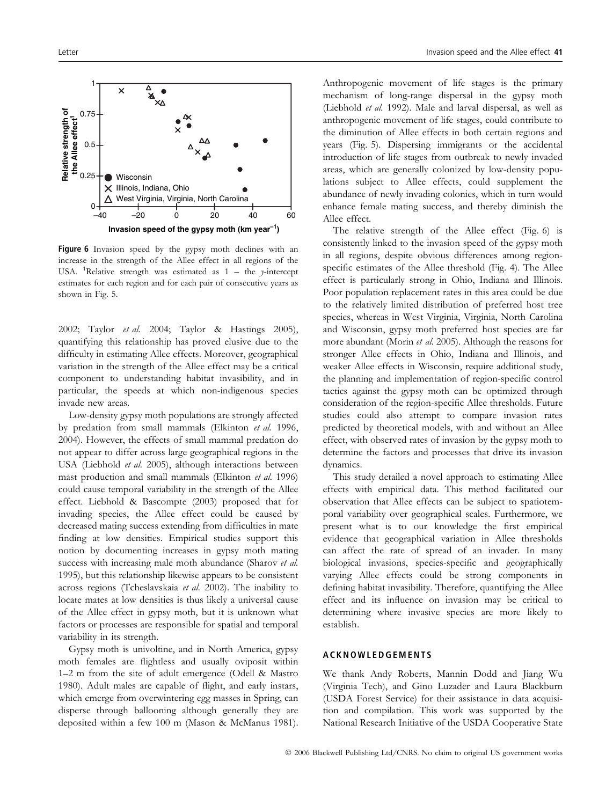

Figure 6 Invasion speed by the gypsy moth declines with an increase in the strength of the Allee effect in all regions of the USA. <sup>1</sup>Relative strength was estimated as  $1 -$  the y-intercept estimates for each region and for each pair of consecutive years as shown in Fig. 5.

2002; Taylor et al. 2004; Taylor & Hastings 2005), quantifying this relationship has proved elusive due to the difficulty in estimating Allee effects. Moreover, geographical variation in the strength of the Allee effect may be a critical component to understanding habitat invasibility, and in particular, the speeds at which non-indigenous species invade new areas.

Low-density gypsy moth populations are strongly affected by predation from small mammals (Elkinton et al. 1996, 2004). However, the effects of small mammal predation do not appear to differ across large geographical regions in the USA (Liebhold et al. 2005), although interactions between mast production and small mammals (Elkinton et al. 1996) could cause temporal variability in the strength of the Allee effect. Liebhold & Bascompte (2003) proposed that for invading species, the Allee effect could be caused by decreased mating success extending from difficulties in mate finding at low densities. Empirical studies support this notion by documenting increases in gypsy moth mating success with increasing male moth abundance (Sharov et al. 1995), but this relationship likewise appears to be consistent across regions (Tcheslavskaia et al. 2002). The inability to locate mates at low densities is thus likely a universal cause of the Allee effect in gypsy moth, but it is unknown what factors or processes are responsible for spatial and temporal variability in its strength.

Gypsy moth is univoltine, and in North America, gypsy moth females are flightless and usually oviposit within 1–2 m from the site of adult emergence (Odell & Mastro 1980). Adult males are capable of flight, and early instars, which emerge from overwintering egg masses in Spring, can disperse through ballooning although generally they are deposited within a few 100 m (Mason & McManus 1981). Anthropogenic movement of life stages is the primary mechanism of long-range dispersal in the gypsy moth (Liebhold et al. 1992). Male and larval dispersal, as well as anthropogenic movement of life stages, could contribute to the diminution of Allee effects in both certain regions and years (Fig. 5). Dispersing immigrants or the accidental introduction of life stages from outbreak to newly invaded areas, which are generally colonized by low-density populations subject to Allee effects, could supplement the abundance of newly invading colonies, which in turn would enhance female mating success, and thereby diminish the Allee effect.

The relative strength of the Allee effect (Fig. 6) is consistently linked to the invasion speed of the gypsy moth in all regions, despite obvious differences among regionspecific estimates of the Allee threshold (Fig. 4). The Allee effect is particularly strong in Ohio, Indiana and Illinois. Poor population replacement rates in this area could be due to the relatively limited distribution of preferred host tree species, whereas in West Virginia, Virginia, North Carolina and Wisconsin, gypsy moth preferred host species are far more abundant (Morin et al. 2005). Although the reasons for stronger Allee effects in Ohio, Indiana and Illinois, and weaker Allee effects in Wisconsin, require additional study, the planning and implementation of region-specific control tactics against the gypsy moth can be optimized through consideration of the region-specific Allee thresholds. Future studies could also attempt to compare invasion rates predicted by theoretical models, with and without an Allee effect, with observed rates of invasion by the gypsy moth to determine the factors and processes that drive its invasion dynamics.

This study detailed a novel approach to estimating Allee effects with empirical data. This method facilitated our observation that Allee effects can be subject to spatiotemporal variability over geographical scales. Furthermore, we present what is to our knowledge the first empirical evidence that geographical variation in Allee thresholds can affect the rate of spread of an invader. In many biological invasions, species-specific and geographically varying Allee effects could be strong components in defining habitat invasibility. Therefore, quantifying the Allee effect and its influence on invasion may be critical to determining where invasive species are more likely to establish.

#### ACKNOWLEDGEMENTS

We thank Andy Roberts, Mannin Dodd and Jiang Wu (Virginia Tech), and Gino Luzader and Laura Blackburn (USDA Forest Service) for their assistance in data acquisition and compilation. This work was supported by the National Research Initiative of the USDA Cooperative State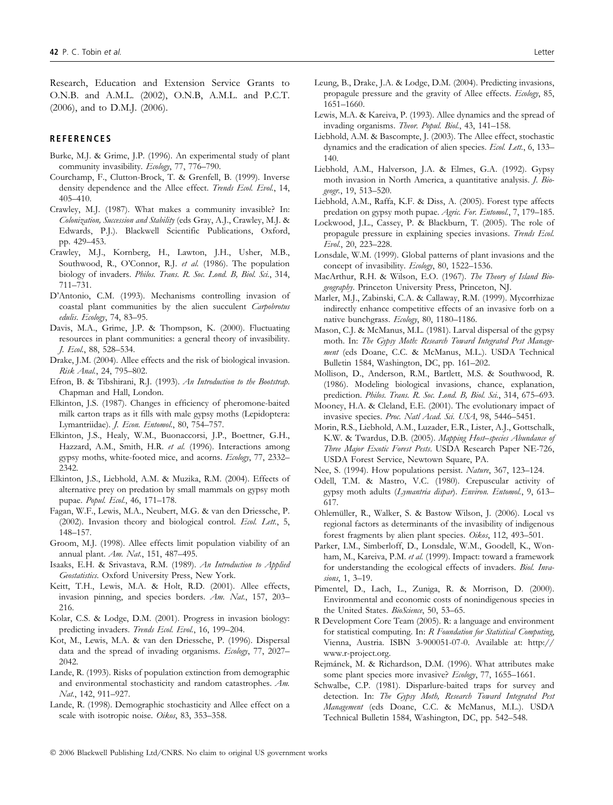Research, Education and Extension Service Grants to O.N.B. and A.M.L. (2002), O.N.B, A.M.L. and P.C.T. (2006), and to D.M.J. (2006).

#### **REFERENCES**

- Burke, M.J. & Grime, J.P. (1996). An experimental study of plant community invasibility. Ecology, 77, 776-790.
- Courchamp, F., Clutton-Brock, T. & Grenfell, B. (1999). Inverse density dependence and the Allee effect. Trends Ecol. Evol., 14, 405–410.
- Crawley, M.J. (1987). What makes a community invasible? In: Colonization, Succession and Stability (eds Gray, A.J., Crawley, M.J. & Edwards, P.J.). Blackwell Scientific Publications, Oxford, pp. 429–453.
- Crawley, M.J., Kornberg, H., Lawton, J.H., Usher, M.B., Southwood, R., O'Connor, R.J. et al. (1986). The population biology of invaders. Philos. Trans. R. Soc. Lond. B, Biol. Sci., 314, 711–731.
- D'Antonio, C.M. (1993). Mechanisms controlling invasion of coastal plant communities by the alien succulent Carpobrotus edulis. Ecology, 74, 83–95.
- Davis, M.A., Grime, J.P. & Thompson, K. (2000). Fluctuating resources in plant communities: a general theory of invasibility. J. Ecol., 88, 528–534.
- Drake, J.M. (2004). Allee effects and the risk of biological invasion. Risk Anal., 24, 795–802.
- Efron, B. & Tibshirani, R.J. (1993). An Introduction to the Bootstrap. Chapman and Hall, London.
- Elkinton, J.S. (1987). Changes in efficiency of pheromone-baited milk carton traps as it fills with male gypsy moths (Lepidoptera: Lymantriidae). J. Econ. Entomol., 80, 754–757.
- Elkinton, J.S., Healy, W.M., Buonaccorsi, J.P., Boettner, G.H., Hazzard, A.M., Smith, H.R. et al. (1996). Interactions among gypsy moths, white-footed mice, and acorns. Ecology, 77, 2332– 2342.
- Elkinton, J.S., Liebhold, A.M. & Muzika, R.M. (2004). Effects of alternative prey on predation by small mammals on gypsy moth pupae. Popul. Ecol., 46, 171–178.
- Fagan, W.F., Lewis, M.A., Neubert, M.G. & van den Driessche, P. (2002). Invasion theory and biological control. Ecol. Lett., 5, 148–157.
- Groom, M.J. (1998). Allee effects limit population viability of an annual plant. Am. Nat., 151, 487–495.
- Isaaks, E.H. & Srivastava, R.M. (1989). An Introduction to Applied Geostatistics. Oxford University Press, New York.
- Keitt, T.H., Lewis, M.A. & Holt, R.D. (2001). Allee effects, invasion pinning, and species borders. Am. Nat., 157, 203-216.
- Kolar, C.S. & Lodge, D.M. (2001). Progress in invasion biology: predicting invaders. Trends Ecol. Evol., 16, 199-204.
- Kot, M., Lewis, M.A. & van den Driessche, P. (1996). Dispersal data and the spread of invading organisms. Ecology, 77, 2027– 2042.
- Lande, R. (1993). Risks of population extinction from demographic and environmental stochasticity and random catastrophes. Am. Nat., 142, 911–927.
- Lande, R. (1998). Demographic stochasticity and Allee effect on a scale with isotropic noise. Oikos, 83, 353–358.
- Leung, B., Drake, J.A. & Lodge, D.M. (2004). Predicting invasions, propagule pressure and the gravity of Allee effects. Ecology, 85, 1651–1660.
- Lewis, M.A. & Kareiva, P. (1993). Allee dynamics and the spread of invading organisms. Theor. Popul. Biol., 43, 141–158.
- Liebhold, A.M. & Bascompte, J. (2003). The Allee effect, stochastic dynamics and the eradication of alien species. Ecol. Lett., 6, 133– 140.
- Liebhold, A.M., Halverson, J.A. & Elmes, G.A. (1992). Gypsy moth invasion in North America, a quantitative analysis. J. Biogeogr., 19, 513–520.
- Liebhold, A.M., Raffa, K.F. & Diss, A. (2005). Forest type affects predation on gypsy moth pupae. Agric. For. Entomol., 7, 179-185.
- Lockwood, J.L., Cassey, P. & Blackburn, T. (2005). The role of propagule pressure in explaining species invasions. Trends Ecol. Evol., 20, 223–228.
- Lonsdale, W.M. (1999). Global patterns of plant invasions and the concept of invasibility. Ecology, 80, 1522–1536.
- MacArthur, R.H. & Wilson, E.O. (1967). The Theory of Island Biogeography. Princeton University Press, Princeton, NJ.
- Marler, M.J., Zabinski, C.A. & Callaway, R.M. (1999). Mycorrhizae indirectly enhance competitive effects of an invasive forb on a native bunchgrass. Ecology, 80, 1180-1186.
- Mason, C.J. & McManus, M.L. (1981). Larval dispersal of the gypsy moth. In: The Gypsy Moth: Research Toward Integrated Pest Management (eds Doane, C.C. & McManus, M.L.). USDA Technical Bulletin 1584, Washington, DC, pp. 161–202.
- Mollison, D., Anderson, R.M., Bartlett, M.S. & Southwood, R. (1986). Modeling biological invasions, chance, explanation, prediction. Philos. Trans. R. Soc. Lond. B, Biol. Sci., 314, 675-693.
- Mooney, H.A. & Cleland, E.E. (2001). The evolutionary impact of invasive species. Proc. Natl Acad. Sci. USA, 98, 5446-5451.
- Morin, R.S., Liebhold, A.M., Luzader, E.R., Lister, A.J., Gottschalk, K.W. & Twardus, D.B. (2005). Mapping Host-species Abundance of Three Major Exotic Forest Pests. USDA Research Paper NE-726, USDA Forest Service, Newtown Square, PA.
- Nee, S. (1994). How populations persist. Nature, 367, 123–124.
- Odell, T.M. & Mastro, V.C. (1980). Crepuscular activity of gypsy moth adults (Lymantria dispar). Environ. Entomol., 9, 613-617.
- Ohlemüller, R., Walker, S. & Bastow Wilson, J. (2006). Local vs regional factors as determinants of the invasibility of indigenous forest fragments by alien plant species. Oikos, 112, 493–501.
- Parker, I.M., Simberloff, D., Lonsdale, W.M., Goodell, K., Wonham, M., Kareiva, P.M. et al. (1999). Impact: toward a framework for understanding the ecological effects of invaders. Biol. Invasions, 1, 3-19.
- Pimentel, D., Lach, L., Zuniga, R. & Morrison, D. (2000). Environmental and economic costs of nonindigenous species in the United States. BioScience, 50, 53-65.
- R Development Core Team (2005). R: a language and environment for statistical computing. In: R Foundation for Statistical Computing, Vienna, Austria. ISBN 3-900051-07-0. Available at: http:// www.r-project.org.
- Rejmánek, M. & Richardson, D.M. (1996). What attributes make some plant species more invasive? Ecology, 77, 1655-1661.
- Schwalbe, C.P. (1981). Disparlure-baited traps for survey and detection. In: The Gypsy Moth, Research Toward Integrated Pest Management (eds Doane, C.C. & McManus, M.L.). USDA Technical Bulletin 1584, Washington, DC, pp. 542–548.